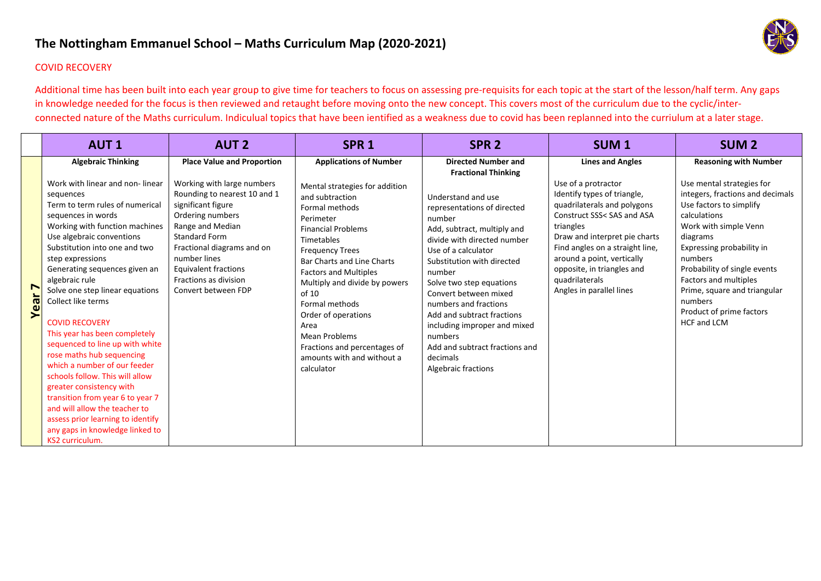## **The Nottingham Emmanuel School – Maths Curriculum Map (2020‐2021)**



## COVID RECOVERY

Additional time has been built into each year group to give time for teachers to focus on assessing pre-requisits for each topic at the start of the lesson/half term. Any gaps in knowledge needed for the focus is then reviewed and retaught before moving onto the new concept. This covers most of the curriculum due to the cyclic/interconnected nature of the Maths curriculum. Indiculual topics that have been ientified as a weakness due to covid has been replanned into the curriulum at a later stage.

|                                            | <b>AUT1</b>                                                                                                                                                                                                                                                                                                                                                                                                                                                                                                                                                                                                                                                                                                                                                 | <b>AUT 2</b>                                                                                                                                                                                                                                                                                                       | SPR <sub>1</sub>                                                                                                                                                                                                                                                                                                                                                                                                                                    | SPR <sub>2</sub>                                                                                                                                                                                                                                                                                                                                                                                                                                                                 | <b>SUM1</b>                                                                                                                                                                                                                                                                                                                           | <b>SUM2</b>                                                                                                                                                                                                                                                                                                                                                                 |
|--------------------------------------------|-------------------------------------------------------------------------------------------------------------------------------------------------------------------------------------------------------------------------------------------------------------------------------------------------------------------------------------------------------------------------------------------------------------------------------------------------------------------------------------------------------------------------------------------------------------------------------------------------------------------------------------------------------------------------------------------------------------------------------------------------------------|--------------------------------------------------------------------------------------------------------------------------------------------------------------------------------------------------------------------------------------------------------------------------------------------------------------------|-----------------------------------------------------------------------------------------------------------------------------------------------------------------------------------------------------------------------------------------------------------------------------------------------------------------------------------------------------------------------------------------------------------------------------------------------------|----------------------------------------------------------------------------------------------------------------------------------------------------------------------------------------------------------------------------------------------------------------------------------------------------------------------------------------------------------------------------------------------------------------------------------------------------------------------------------|---------------------------------------------------------------------------------------------------------------------------------------------------------------------------------------------------------------------------------------------------------------------------------------------------------------------------------------|-----------------------------------------------------------------------------------------------------------------------------------------------------------------------------------------------------------------------------------------------------------------------------------------------------------------------------------------------------------------------------|
| $\blacktriangleright$<br>Year <sup>-</sup> | <b>Algebraic Thinking</b><br>Work with linear and non-linear<br>sequences<br>Term to term rules of numerical<br>sequences in words<br>Working with function machines<br>Use algebraic conventions<br>Substitution into one and two<br>step expressions<br>Generating sequences given an<br>algebraic rule<br>Solve one step linear equations<br>Collect like terms<br><b>COVID RECOVERY</b><br>This year has been completely<br>sequenced to line up with white<br>rose maths hub sequencing<br>which a number of our feeder<br>schools follow. This will allow<br>greater consistency with<br>transition from year 6 to year 7<br>and will allow the teacher to<br>assess prior learning to identify<br>any gaps in knowledge linked to<br>KS2 curriculum. | <b>Place Value and Proportion</b><br>Working with large numbers<br>Rounding to nearest 10 and 1<br>significant figure<br>Ordering numbers<br>Range and Median<br><b>Standard Form</b><br>Fractional diagrams and on<br>number lines<br><b>Equivalent fractions</b><br>Fractions as division<br>Convert between FDP | <b>Applications of Number</b><br>Mental strategies for addition<br>and subtraction<br>Formal methods<br>Perimeter<br><b>Financial Problems</b><br>Timetables<br><b>Frequency Trees</b><br><b>Bar Charts and Line Charts</b><br><b>Factors and Multiples</b><br>Multiply and divide by powers<br>of 10<br>Formal methods<br>Order of operations<br>Area<br>Mean Problems<br>Fractions and percentages of<br>amounts with and without a<br>calculator | <b>Directed Number and</b><br><b>Fractional Thinking</b><br>Understand and use<br>representations of directed<br>number<br>Add, subtract, multiply and<br>divide with directed number<br>Use of a calculator<br>Substitution with directed<br>number<br>Solve two step equations<br>Convert between mixed<br>numbers and fractions<br>Add and subtract fractions<br>including improper and mixed<br>numbers<br>Add and subtract fractions and<br>decimals<br>Algebraic fractions | <b>Lines and Angles</b><br>Use of a protractor<br>Identify types of triangle,<br>quadrilaterals and polygons<br>Construct SSS< SAS and ASA<br>triangles<br>Draw and interpret pie charts<br>Find angles on a straight line,<br>around a point, vertically<br>opposite, in triangles and<br>quadrilaterals<br>Angles in parallel lines | <b>Reasoning with Number</b><br>Use mental strategies for<br>integers, fractions and decimals<br>Use factors to simplify<br>calculations<br>Work with simple Venn<br>diagrams<br>Expressing probability in<br>numbers<br>Probability of single events<br>Factors and multiples<br>Prime, square and triangular<br>numbers<br>Product of prime factors<br><b>HCF and LCM</b> |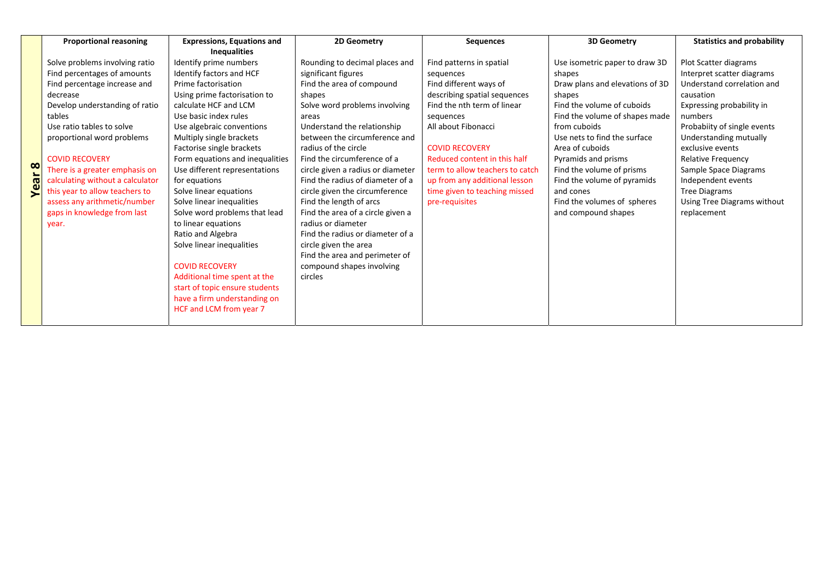|   | <b>Proportional reasoning</b>    | <b>Expressions, Equations and</b> | 2D Geometry                       | <b>Sequences</b>                | <b>3D Geometry</b>              | <b>Statistics and probability</b> |
|---|----------------------------------|-----------------------------------|-----------------------------------|---------------------------------|---------------------------------|-----------------------------------|
|   |                                  | <b>Inequalities</b>               |                                   |                                 |                                 |                                   |
|   | Solve problems involving ratio   | Identify prime numbers            | Rounding to decimal places and    | Find patterns in spatial        | Use isometric paper to draw 3D  | Plot Scatter diagrams             |
|   | Find percentages of amounts      | Identify factors and HCF          | significant figures               | sequences                       | shapes                          | Interpret scatter diagrams        |
|   | Find percentage increase and     | Prime factorisation               | Find the area of compound         | Find different ways of          | Draw plans and elevations of 3D | Understand correlation and        |
|   | decrease                         | Using prime factorisation to      | shapes                            | describing spatial sequences    | shapes                          | causation                         |
|   | Develop understanding of ratio   | calculate HCF and LCM             | Solve word problems involving     | Find the nth term of linear     | Find the volume of cuboids      | Expressing probability in         |
|   | tables                           | Use basic index rules             | areas                             | sequences                       | Find the volume of shapes made  | numbers                           |
|   | Use ratio tables to solve        | Use algebraic conventions         | Understand the relationship       | All about Fibonacci             | from cuboids                    | Probabiity of single events       |
|   | proportional word problems       | Multiply single brackets          | between the circumference and     |                                 | Use nets to find the surface    | Understanding mutually            |
|   |                                  | Factorise single brackets         | radius of the circle              | <b>COVID RECOVERY</b>           | Area of cuboids                 | exclusive events                  |
|   | <b>COVID RECOVERY</b>            | Form equations and inequalities   | Find the circumference of a       | Reduced content in this half    | Pyramids and prisms             | <b>Relative Frequency</b>         |
| ထ | There is a greater emphasis on   | Use different representations     | circle given a radius or diameter | term to allow teachers to catch | Find the volume of prisms       | Sample Space Diagrams             |
| đ | calculating without a calculator | for equations                     | Find the radius of diameter of a  | up from any additional lesson   | Find the volume of pyramids     | Independent events                |
|   | this year to allow teachers to   | Solve linear equations            | circle given the circumference    | time given to teaching missed   | and cones                       | <b>Tree Diagrams</b>              |
|   | assess any arithmetic/number     | Solve linear inequalities         | Find the length of arcs           | pre-requisites                  | Find the volumes of spheres     | Using Tree Diagrams without       |
|   | gaps in knowledge from last      | Solve word problems that lead     | Find the area of a circle given a |                                 | and compound shapes             | replacement                       |
|   | year.                            | to linear equations               | radius or diameter                |                                 |                                 |                                   |
|   |                                  | Ratio and Algebra                 | Find the radius or diameter of a  |                                 |                                 |                                   |
|   |                                  | Solve linear inequalities         | circle given the area             |                                 |                                 |                                   |
|   |                                  |                                   | Find the area and perimeter of    |                                 |                                 |                                   |
|   |                                  | <b>COVID RECOVERY</b>             | compound shapes involving         |                                 |                                 |                                   |
|   |                                  | Additional time spent at the      | circles                           |                                 |                                 |                                   |
|   |                                  | start of topic ensure students    |                                   |                                 |                                 |                                   |
|   |                                  | have a firm understanding on      |                                   |                                 |                                 |                                   |
|   |                                  | HCF and LCM from year 7           |                                   |                                 |                                 |                                   |
|   |                                  |                                   |                                   |                                 |                                 |                                   |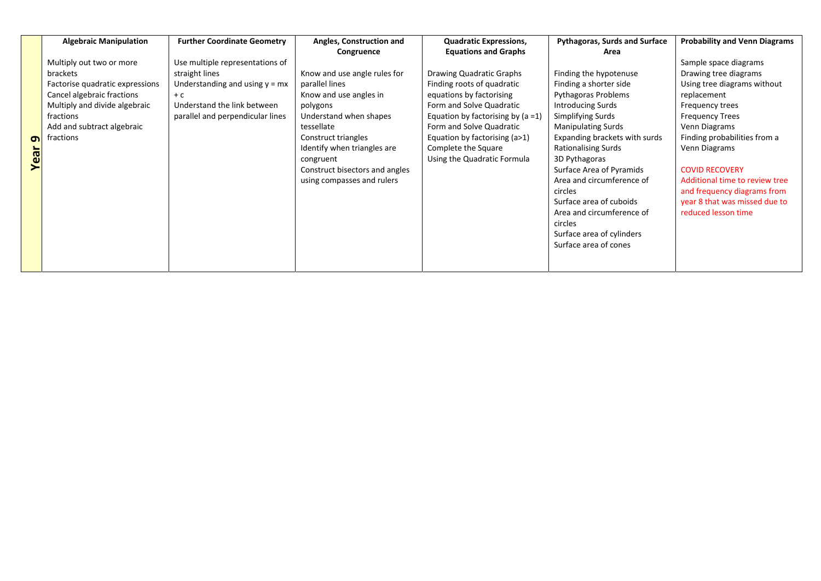|          | <b>Algebraic Manipulation</b>   | <b>Further Coordinate Geometry</b> | Angles, Construction and       | <b>Quadratic Expressions,</b>        | <b>Pythagoras, Surds and Surface</b> | <b>Probability and Venn Diagrams</b> |
|----------|---------------------------------|------------------------------------|--------------------------------|--------------------------------------|--------------------------------------|--------------------------------------|
|          |                                 |                                    | Congruence                     | <b>Equations and Graphs</b>          | Area                                 |                                      |
|          | Multiply out two or more        | Use multiple representations of    |                                |                                      |                                      | Sample space diagrams                |
|          | brackets                        | straight lines                     | Know and use angle rules for   | Drawing Quadratic Graphs             | Finding the hypotenuse               | Drawing tree diagrams                |
|          | Factorise quadratic expressions | Understanding and using $y = mx$   | parallel lines                 | Finding roots of quadratic           | Finding a shorter side               | Using tree diagrams without          |
|          | Cancel algebraic fractions      | $+ C$                              | Know and use angles in         | equations by factorising             | <b>Pythagoras Problems</b>           | replacement                          |
|          | Multiply and divide algebraic   | Understand the link between        | polygons                       | Form and Solve Quadratic             | Introducing Surds                    | Frequency trees                      |
|          | fractions                       | parallel and perpendicular lines   | Understand when shapes         | Equation by factorising by $(a = 1)$ | Simplifying Surds                    | <b>Frequency Trees</b>               |
|          | Add and subtract algebraic      |                                    | tessellate                     | Form and Solve Quadratic             | <b>Manipulating Surds</b>            | Venn Diagrams                        |
| $\sigma$ | fractions                       |                                    | Construct triangles            | Equation by factorising (a>1)        | Expanding brackets with surds        | Finding probabilities from a         |
|          |                                 |                                    | Identify when triangles are    | Complete the Square                  | <b>Rationalising Surds</b>           | Venn Diagrams                        |
| Yea      |                                 |                                    | congruent                      | Using the Quadratic Formula          | 3D Pythagoras                        |                                      |
|          |                                 |                                    | Construct bisectors and angles |                                      | Surface Area of Pyramids             | <b>COVID RECOVERY</b>                |
|          |                                 |                                    | using compasses and rulers     |                                      | Area and circumference of            | Additional time to review tree       |
|          |                                 |                                    |                                |                                      | circles                              | and frequency diagrams from          |
|          |                                 |                                    |                                |                                      | Surface area of cuboids              | year 8 that was missed due to        |
|          |                                 |                                    |                                |                                      | Area and circumference of            | reduced lesson time                  |
|          |                                 |                                    |                                |                                      | circles                              |                                      |
|          |                                 |                                    |                                |                                      | Surface area of cylinders            |                                      |
|          |                                 |                                    |                                |                                      | Surface area of cones                |                                      |
|          |                                 |                                    |                                |                                      |                                      |                                      |
|          |                                 |                                    |                                |                                      |                                      |                                      |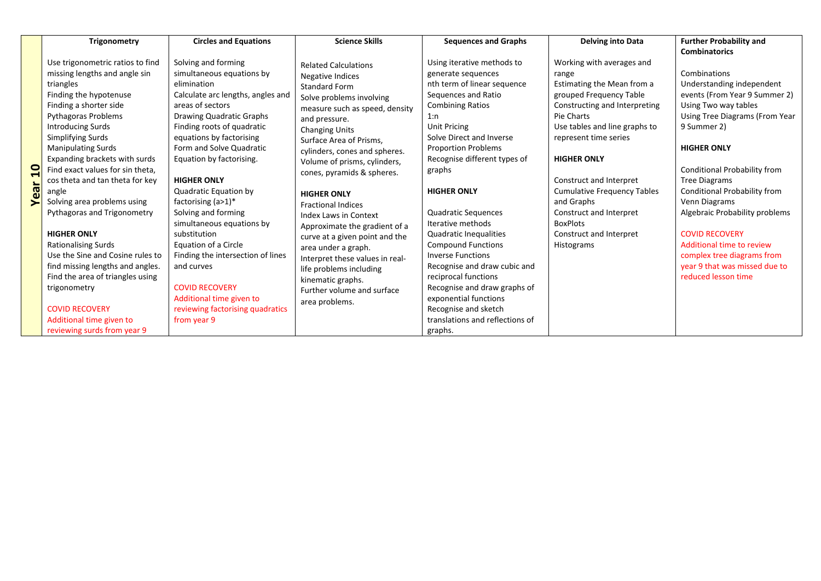|                      | <b>Trigonometry</b>                                                                                                                                                                                                                                                                                                                                                                                                                                                                                                                                                                                                                                                                        | <b>Circles and Equations</b>                                                                                                                                                                                                                                                                                                                                                                                                                                                                                                                                                                          | <b>Science Skills</b>                                                                                                                                                                                                                                                                                                                                                                                                                                                                                                                                                                                                            | <b>Sequences and Graphs</b>                                                                                                                                                                                                                                                                                                                                                                                                                                                                                                                                                                                                   | <b>Delving into Data</b>                                                                                                                                                                                                                                                                                                                                                                         | <b>Further Probability and</b>                                                                                                                                                                                                                                                                                                                                                                                                                                   |
|----------------------|--------------------------------------------------------------------------------------------------------------------------------------------------------------------------------------------------------------------------------------------------------------------------------------------------------------------------------------------------------------------------------------------------------------------------------------------------------------------------------------------------------------------------------------------------------------------------------------------------------------------------------------------------------------------------------------------|-------------------------------------------------------------------------------------------------------------------------------------------------------------------------------------------------------------------------------------------------------------------------------------------------------------------------------------------------------------------------------------------------------------------------------------------------------------------------------------------------------------------------------------------------------------------------------------------------------|----------------------------------------------------------------------------------------------------------------------------------------------------------------------------------------------------------------------------------------------------------------------------------------------------------------------------------------------------------------------------------------------------------------------------------------------------------------------------------------------------------------------------------------------------------------------------------------------------------------------------------|-------------------------------------------------------------------------------------------------------------------------------------------------------------------------------------------------------------------------------------------------------------------------------------------------------------------------------------------------------------------------------------------------------------------------------------------------------------------------------------------------------------------------------------------------------------------------------------------------------------------------------|--------------------------------------------------------------------------------------------------------------------------------------------------------------------------------------------------------------------------------------------------------------------------------------------------------------------------------------------------------------------------------------------------|------------------------------------------------------------------------------------------------------------------------------------------------------------------------------------------------------------------------------------------------------------------------------------------------------------------------------------------------------------------------------------------------------------------------------------------------------------------|
|                      |                                                                                                                                                                                                                                                                                                                                                                                                                                                                                                                                                                                                                                                                                            |                                                                                                                                                                                                                                                                                                                                                                                                                                                                                                                                                                                                       |                                                                                                                                                                                                                                                                                                                                                                                                                                                                                                                                                                                                                                  |                                                                                                                                                                                                                                                                                                                                                                                                                                                                                                                                                                                                                               |                                                                                                                                                                                                                                                                                                                                                                                                  | <b>Combinatorics</b>                                                                                                                                                                                                                                                                                                                                                                                                                                             |
| $\mathbf{a}$<br>Year | Use trigonometric ratios to find<br>missing lengths and angle sin<br>triangles<br>Finding the hypotenuse<br>Finding a shorter side<br>Pythagoras Problems<br><b>Introducing Surds</b><br>Simplifying Surds<br><b>Manipulating Surds</b><br>Expanding brackets with surds<br>Find exact values for sin theta,<br>cos theta and tan theta for key<br>angle<br>Solving area problems using<br>Pythagoras and Trigonometry<br><b>HIGHER ONLY</b><br><b>Rationalising Surds</b><br>Use the Sine and Cosine rules to<br>find missing lengths and angles.<br>Find the area of triangles using<br>trigonometry<br><b>COVID RECOVERY</b><br>Additional time given to<br>reviewing surds from year 9 | Solving and forming<br>simultaneous equations by<br>elimination<br>Calculate arc lengths, angles and<br>areas of sectors<br>Drawing Quadratic Graphs<br>Finding roots of quadratic<br>equations by factorising<br>Form and Solve Quadratic<br>Equation by factorising.<br><b>HIGHER ONLY</b><br>Quadratic Equation by<br>factorising $(a>1)^*$<br>Solving and forming<br>simultaneous equations by<br>substitution<br>Equation of a Circle<br>Finding the intersection of lines<br>and curves<br><b>COVID RECOVERY</b><br>Additional time given to<br>reviewing factorising quadratics<br>from year 9 | <b>Related Calculations</b><br><b>Negative Indices</b><br><b>Standard Form</b><br>Solve problems involving<br>measure such as speed, density<br>and pressure.<br><b>Changing Units</b><br>Surface Area of Prisms.<br>cylinders, cones and spheres.<br>Volume of prisms, cylinders,<br>cones, pyramids & spheres.<br><b>HIGHER ONLY</b><br><b>Fractional Indices</b><br><b>Index Laws in Context</b><br>Approximate the gradient of a<br>curve at a given point and the<br>area under a graph.<br>Interpret these values in real-<br>life problems including<br>kinematic graphs.<br>Further volume and surface<br>area problems. | Using iterative methods to<br>generate sequences<br>nth term of linear sequence<br>Sequences and Ratio<br><b>Combining Ratios</b><br>1:n<br><b>Unit Pricing</b><br>Solve Direct and Inverse<br><b>Proportion Problems</b><br>Recognise different types of<br>graphs<br><b>HIGHER ONLY</b><br><b>Quadratic Sequences</b><br>Iterative methods<br><b>Quadratic Inequalities</b><br><b>Compound Functions</b><br><b>Inverse Functions</b><br>Recognise and draw cubic and<br>reciprocal functions<br>Recognise and draw graphs of<br>exponential functions<br>Recognise and sketch<br>translations and reflections of<br>graphs. | Working with averages and<br>range<br>Estimating the Mean from a<br>grouped Frequency Table<br>Constructing and Interpreting<br>Pie Charts<br>Use tables and line graphs to<br>represent time series<br><b>HIGHER ONLY</b><br>Construct and Interpret<br><b>Cumulative Frequency Tables</b><br>and Graphs<br>Construct and Interpret<br><b>BoxPlots</b><br>Construct and Interpret<br>Histograms | Combinations<br>Understanding independent<br>events (From Year 9 Summer 2)<br>Using Two way tables<br>Using Tree Diagrams (From Year<br>9 Summer 2)<br><b>HIGHER ONLY</b><br>Conditional Probability from<br><b>Tree Diagrams</b><br>Conditional Probability from<br>Venn Diagrams<br>Algebraic Probability problems<br><b>COVID RECOVERY</b><br>Additional time to review<br>complex tree diagrams from<br>year 9 that was missed due to<br>reduced lesson time |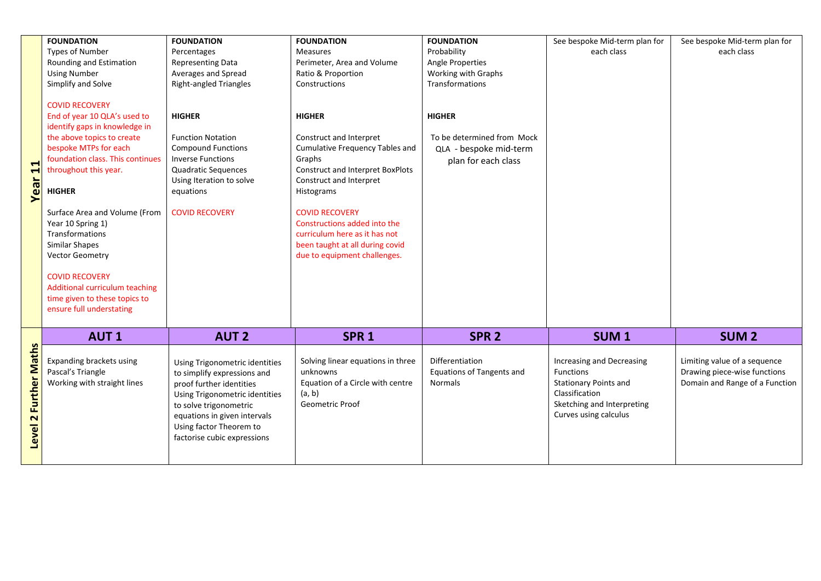|                       | <b>FOUNDATION</b>                                                                                                                                                                                                                                                                                                                                                                                                                                                               | <b>FOUNDATION</b>                                                                                                                                                                                                                               | <b>FOUNDATION</b>                                                                                                                                                                                                                                                                                                                             | <b>FOUNDATION</b>                                                                            | See bespoke Mid-term plan for                                                                                                                   | See bespoke Mid-term plan for                                                                  |
|-----------------------|---------------------------------------------------------------------------------------------------------------------------------------------------------------------------------------------------------------------------------------------------------------------------------------------------------------------------------------------------------------------------------------------------------------------------------------------------------------------------------|-------------------------------------------------------------------------------------------------------------------------------------------------------------------------------------------------------------------------------------------------|-----------------------------------------------------------------------------------------------------------------------------------------------------------------------------------------------------------------------------------------------------------------------------------------------------------------------------------------------|----------------------------------------------------------------------------------------------|-------------------------------------------------------------------------------------------------------------------------------------------------|------------------------------------------------------------------------------------------------|
|                       | <b>Types of Number</b>                                                                                                                                                                                                                                                                                                                                                                                                                                                          | Percentages                                                                                                                                                                                                                                     | <b>Measures</b>                                                                                                                                                                                                                                                                                                                               | Probability                                                                                  | each class                                                                                                                                      | each class                                                                                     |
|                       |                                                                                                                                                                                                                                                                                                                                                                                                                                                                                 |                                                                                                                                                                                                                                                 |                                                                                                                                                                                                                                                                                                                                               |                                                                                              |                                                                                                                                                 |                                                                                                |
|                       | Rounding and Estimation                                                                                                                                                                                                                                                                                                                                                                                                                                                         | <b>Representing Data</b>                                                                                                                                                                                                                        | Perimeter, Area and Volume                                                                                                                                                                                                                                                                                                                    | Angle Properties                                                                             |                                                                                                                                                 |                                                                                                |
|                       | <b>Using Number</b>                                                                                                                                                                                                                                                                                                                                                                                                                                                             | Averages and Spread                                                                                                                                                                                                                             | Ratio & Proportion                                                                                                                                                                                                                                                                                                                            | Working with Graphs                                                                          |                                                                                                                                                 |                                                                                                |
|                       | Simplify and Solve                                                                                                                                                                                                                                                                                                                                                                                                                                                              | <b>Right-angled Triangles</b>                                                                                                                                                                                                                   | Constructions                                                                                                                                                                                                                                                                                                                                 | <b>Transformations</b>                                                                       |                                                                                                                                                 |                                                                                                |
| Year <sub>11</sub>    | <b>COVID RECOVERY</b><br>End of year 10 QLA's used to<br>identify gaps in knowledge in<br>the above topics to create<br>bespoke MTPs for each<br>foundation class. This continues<br>throughout this year.<br><b>HIGHER</b><br>Surface Area and Volume (From<br>Year 10 Spring 1)<br>Transformations<br><b>Similar Shapes</b><br><b>Vector Geometry</b><br><b>COVID RECOVERY</b><br>Additional curriculum teaching<br>time given to these topics to<br>ensure full understating | <b>HIGHER</b><br><b>Function Notation</b><br><b>Compound Functions</b><br><b>Inverse Functions</b><br>Quadratic Sequences<br>Using Iteration to solve<br>equations<br><b>COVID RECOVERY</b>                                                     | <b>HIGHER</b><br>Construct and Interpret<br><b>Cumulative Frequency Tables and</b><br>Graphs<br><b>Construct and Interpret BoxPlots</b><br>Construct and Interpret<br>Histograms<br><b>COVID RECOVERY</b><br>Constructions added into the<br>curriculum here as it has not<br>been taught at all during covid<br>due to equipment challenges. | <b>HIGHER</b><br>To be determined from Mock<br>QLA - bespoke mid-term<br>plan for each class |                                                                                                                                                 |                                                                                                |
|                       | <b>AUT1</b>                                                                                                                                                                                                                                                                                                                                                                                                                                                                     | <b>AUT 2</b>                                                                                                                                                                                                                                    | SPR <sub>1</sub>                                                                                                                                                                                                                                                                                                                              | SPR <sub>2</sub>                                                                             | SUM <sub>1</sub>                                                                                                                                | <b>SUM2</b>                                                                                    |
| Level 2 Further Maths | Expanding brackets using<br>Pascal's Triangle<br>Working with straight lines                                                                                                                                                                                                                                                                                                                                                                                                    | Using Trigonometric identities<br>to simplify expressions and<br>proof further identities<br>Using Trigonometric identities<br>to solve trigonometric<br>equations in given intervals<br>Using factor Theorem to<br>factorise cubic expressions | Solving linear equations in three<br>unknowns<br>Equation of a Circle with centre<br>(a, b)<br>Geometric Proof                                                                                                                                                                                                                                | Differentiation<br><b>Equations of Tangents and</b><br><b>Normals</b>                        | Increasing and Decreasing<br>Functions<br><b>Stationary Points and</b><br>Classification<br>Sketching and Interpreting<br>Curves using calculus | Limiting value of a sequence<br>Drawing piece-wise functions<br>Domain and Range of a Function |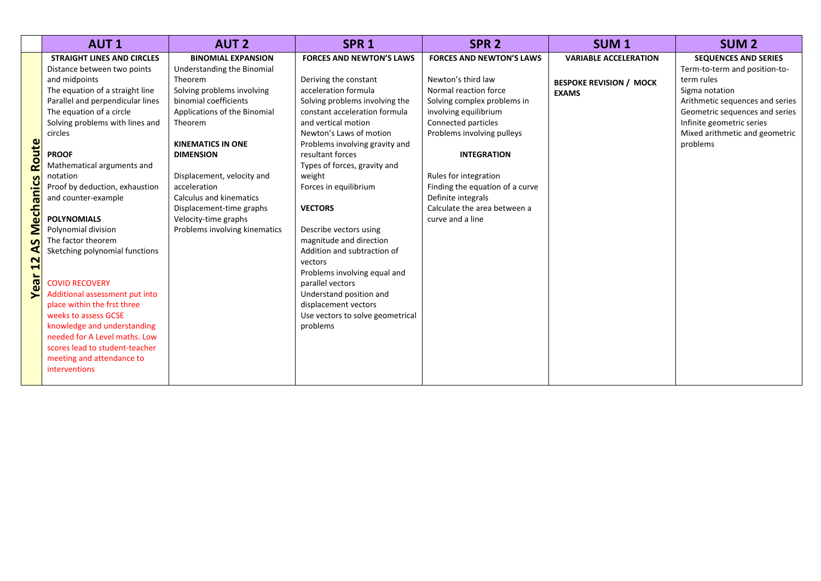|                                                          | <b>AUT1</b>                                                                                                                                                                                                                                                                                                                                                                                                                                                                                                                                                                  | <b>AUT 2</b>                                                                                                                                                                                                                                                                                                                                                                              | SPR <sub>1</sub>                                                                                                                                                                                                                                                                                                                                                                                                                                                                                                                                                                           | SPR <sub>2</sub>                                                                                                                                                                                                                                                                                                                                        | SUM <sub>1</sub>                                                               | <b>SUM2</b>                                                                                                                                                                                                                                  |
|----------------------------------------------------------|------------------------------------------------------------------------------------------------------------------------------------------------------------------------------------------------------------------------------------------------------------------------------------------------------------------------------------------------------------------------------------------------------------------------------------------------------------------------------------------------------------------------------------------------------------------------------|-------------------------------------------------------------------------------------------------------------------------------------------------------------------------------------------------------------------------------------------------------------------------------------------------------------------------------------------------------------------------------------------|--------------------------------------------------------------------------------------------------------------------------------------------------------------------------------------------------------------------------------------------------------------------------------------------------------------------------------------------------------------------------------------------------------------------------------------------------------------------------------------------------------------------------------------------------------------------------------------------|---------------------------------------------------------------------------------------------------------------------------------------------------------------------------------------------------------------------------------------------------------------------------------------------------------------------------------------------------------|--------------------------------------------------------------------------------|----------------------------------------------------------------------------------------------------------------------------------------------------------------------------------------------------------------------------------------------|
| <b>Mechanics Route</b><br>S<br>⋖<br>$\mathbf{z}$<br>Year | <b>STRAIGHT LINES AND CIRCLES</b><br>Distance between two points<br>and midpoints<br>The equation of a straight line<br>Parallel and perpendicular lines<br>The equation of a circle<br>Solving problems with lines and<br>circles<br><b>PROOF</b><br>Mathematical arguments and<br>notation<br>Proof by deduction, exhaustion<br>and counter-example<br><b>POLYNOMIALS</b><br>Polynomial division<br>The factor theorem<br>Sketching polynomial functions<br><b>COVID RECOVERY</b><br>Additional assessment put into<br>place within the frst three<br>weeks to assess GCSE | <b>BINOMIAL EXPANSION</b><br>Understanding the Binomial<br>Theorem<br>Solving problems involving<br>binomial coefficients<br>Applications of the Binomial<br>Theorem<br><b>KINEMATICS IN ONE</b><br><b>DIMENSION</b><br>Displacement, velocity and<br>acceleration<br><b>Calculus and kinematics</b><br>Displacement-time graphs<br>Velocity-time graphs<br>Problems involving kinematics | <b>FORCES AND NEWTON'S LAWS</b><br>Deriving the constant<br>acceleration formula<br>Solving problems involving the<br>constant acceleration formula<br>and vertical motion<br>Newton's Laws of motion<br>Problems involving gravity and<br>resultant forces<br>Types of forces, gravity and<br>weight<br>Forces in equilibrium<br><b>VECTORS</b><br>Describe vectors using<br>magnitude and direction<br>Addition and subtraction of<br>vectors<br>Problems involving equal and<br>parallel vectors<br>Understand position and<br>displacement vectors<br>Use vectors to solve geometrical | <b>FORCES AND NEWTON'S LAWS</b><br>Newton's third law<br>Normal reaction force<br>Solving complex problems in<br>involving equilibrium<br>Connected particles<br>Problems involving pulleys<br><b>INTEGRATION</b><br>Rules for integration<br>Finding the equation of a curve<br>Definite integrals<br>Calculate the area between a<br>curve and a line | <b>VARIABLE ACCELERATION</b><br><b>BESPOKE REVISION / MOCK</b><br><b>EXAMS</b> | <b>SEQUENCES AND SERIES</b><br>Term-to-term and position-to-<br>term rules<br>Sigma notation<br>Arithmetic sequences and series<br>Geometric sequences and series<br>Infinite geometric series<br>Mixed arithmetic and geometric<br>problems |
|                                                          | knowledge and understanding<br>needed for A Level maths. Low<br>scores lead to student-teacher<br>meeting and attendance to<br>interventions                                                                                                                                                                                                                                                                                                                                                                                                                                 |                                                                                                                                                                                                                                                                                                                                                                                           | problems                                                                                                                                                                                                                                                                                                                                                                                                                                                                                                                                                                                   |                                                                                                                                                                                                                                                                                                                                                         |                                                                                |                                                                                                                                                                                                                                              |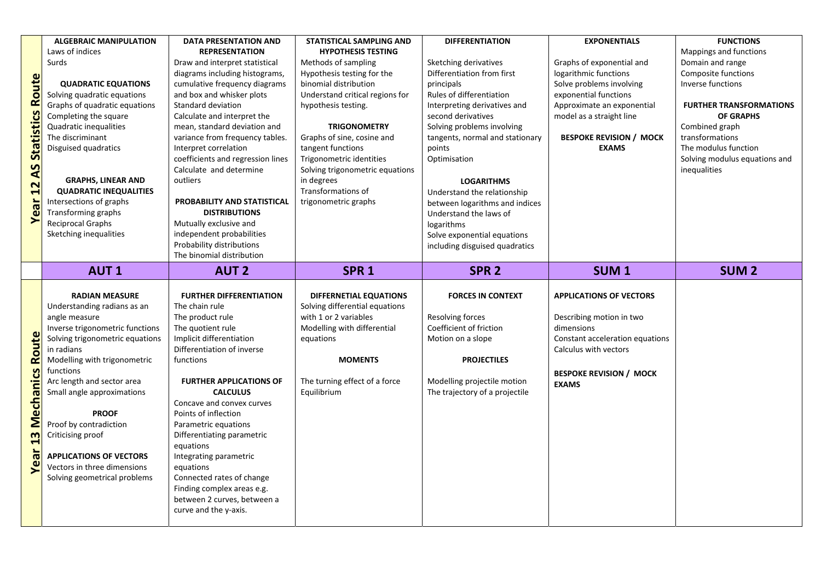|                                | <b>ALGEBRAIC MANIPULATION</b>   | <b>DATA PRESENTATION AND</b>                         | <b>STATISTICAL SAMPLING AND</b> | <b>DIFFERENTIATION</b>                              | <b>EXPONENTIALS</b>             | <b>FUNCTIONS</b>               |
|--------------------------------|---------------------------------|------------------------------------------------------|---------------------------------|-----------------------------------------------------|---------------------------------|--------------------------------|
|                                | Laws of indices                 | <b>REPRESENTATION</b>                                | <b>HYPOTHESIS TESTING</b>       |                                                     |                                 | Mappings and functions         |
|                                | Surds                           | Draw and interpret statistical                       | Methods of sampling             |                                                     | Graphs of exponential and       | Domain and range               |
|                                |                                 | diagrams including histograms,                       | Hypothesis testing for the      | Sketching derivatives<br>Differentiation from first | logarithmic functions           | Composite functions            |
|                                |                                 |                                                      | binomial distribution           |                                                     |                                 | Inverse functions              |
| <b>AS Statistics Route</b>     | <b>QUADRATIC EQUATIONS</b>      | cumulative frequency diagrams                        |                                 | principals                                          | Solve problems involving        |                                |
|                                | Solving quadratic equations     | and box and whisker plots                            | Understand critical regions for | Rules of differentiation                            | exponential functions           |                                |
|                                | Graphs of quadratic equations   | Standard deviation                                   | hypothesis testing.             | Interpreting derivatives and                        | Approximate an exponential      | <b>FURTHER TRANSFORMATIONS</b> |
|                                | Completing the square           | Calculate and interpret the                          |                                 | second derivatives                                  | model as a straight line        | <b>OF GRAPHS</b>               |
|                                | Quadratic inequalities          | mean, standard deviation and                         | <b>TRIGONOMETRY</b>             | Solving problems involving                          |                                 | Combined graph                 |
|                                | The discriminant                | variance from frequency tables.                      | Graphs of sine, cosine and      | tangents, normal and stationary                     | <b>BESPOKE REVISION / MOCK</b>  | transformations                |
|                                | Disguised quadratics            | Interpret correlation                                | tangent functions               | points                                              | <b>EXAMS</b>                    | The modulus function           |
|                                |                                 | coefficients and regression lines                    | Trigonometric identities        | Optimisation                                        |                                 | Solving modulus equations and  |
|                                |                                 | Calculate and determine                              | Solving trigonometric equations |                                                     |                                 | inequalities                   |
|                                | <b>GRAPHS, LINEAR AND</b>       | outliers                                             | in degrees                      | <b>LOGARITHMS</b>                                   |                                 |                                |
|                                | <b>QUADRATIC INEQUALITIES</b>   |                                                      | Transformations of              | Understand the relationship                         |                                 |                                |
|                                | Intersections of graphs         | PROBABILITY AND STATISTICAL                          | trigonometric graphs            | between logarithms and indices                      |                                 |                                |
| Year <sub>12</sub>             | Transforming graphs             | <b>DISTRIBUTIONS</b>                                 |                                 | Understand the laws of                              |                                 |                                |
|                                | <b>Reciprocal Graphs</b>        | Mutually exclusive and                               |                                 | logarithms                                          |                                 |                                |
|                                | Sketching inequalities          | independent probabilities                            |                                 | Solve exponential equations                         |                                 |                                |
|                                |                                 | Probability distributions                            |                                 | including disguised quadratics                      |                                 |                                |
|                                |                                 | The binomial distribution                            |                                 |                                                     |                                 |                                |
|                                | <b>AUT1</b>                     | <b>AUT 2</b>                                         | SPR <sub>1</sub>                | SPR <sub>2</sub>                                    | SUM <sub>1</sub>                | <b>SUM2</b>                    |
|                                |                                 |                                                      |                                 |                                                     |                                 |                                |
|                                |                                 |                                                      |                                 |                                                     |                                 |                                |
|                                | <b>RADIAN MEASURE</b>           | <b>FURTHER DIFFERENTIATION</b>                       | <b>DIFFERNETIAL EQUATIONS</b>   | <b>FORCES IN CONTEXT</b>                            | <b>APPLICATIONS OF VECTORS</b>  |                                |
|                                | Understanding radians as an     | The chain rule                                       | Solving differential equations  |                                                     |                                 |                                |
|                                | angle measure                   | The product rule                                     | with 1 or 2 variables           | Resolving forces                                    | Describing motion in two        |                                |
|                                | Inverse trigonometric functions | The quotient rule                                    | Modelling with differential     | Coefficient of friction                             | dimensions                      |                                |
|                                | Solving trigonometric equations | Implicit differentiation                             | equations                       | Motion on a slope                                   | Constant acceleration equations |                                |
|                                | in radians                      | Differentiation of inverse                           |                                 |                                                     | Calculus with vectors           |                                |
|                                | Modelling with trigonometric    | functions                                            | <b>MOMENTS</b>                  | <b>PROJECTILES</b>                                  |                                 |                                |
|                                | functions                       |                                                      |                                 |                                                     | <b>BESPOKE REVISION / MOCK</b>  |                                |
|                                | Arc length and sector area      | <b>FURTHER APPLICATIONS OF</b>                       | The turning effect of a force   | Modelling projectile motion                         | <b>EXAMS</b>                    |                                |
|                                | Small angle approximations      | <b>CALCULUS</b>                                      | Equilibrium                     | The trajectory of a projectile                      |                                 |                                |
|                                |                                 | Concave and convex curves                            |                                 |                                                     |                                 |                                |
|                                | <b>PROOF</b>                    | Points of inflection                                 |                                 |                                                     |                                 |                                |
|                                | Proof by contradiction          | Parametric equations                                 |                                 |                                                     |                                 |                                |
|                                | Criticising proof               | Differentiating parametric                           |                                 |                                                     |                                 |                                |
|                                |                                 | equations                                            |                                 |                                                     |                                 |                                |
|                                | <b>APPLICATIONS OF VECTORS</b>  | Integrating parametric                               |                                 |                                                     |                                 |                                |
| <b>Year 13 Mechanics Route</b> | Vectors in three dimensions     | equations                                            |                                 |                                                     |                                 |                                |
|                                | Solving geometrical problems    | Connected rates of change                            |                                 |                                                     |                                 |                                |
|                                |                                 | Finding complex areas e.g.                           |                                 |                                                     |                                 |                                |
|                                |                                 | between 2 curves, between a<br>curve and the y-axis. |                                 |                                                     |                                 |                                |